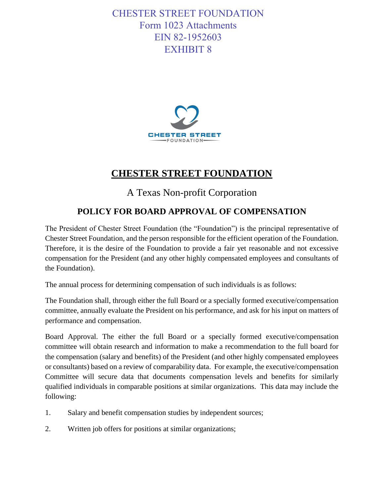## CHESTER STREET FOUNDATION Form 1023 Attachments EIN 82-1952603 EXHIBIT 8



## **CHESTER STREET FOUNDATION**

A Texas Non-profit Corporation

## **POLICY FOR BOARD APPROVAL OF COMPENSATION**

The President of Chester Street Foundation (the "Foundation") is the principal representative of Chester Street Foundation, and the person responsible for the efficient operation of the Foundation. Therefore, it is the desire of the Foundation to provide a fair yet reasonable and not excessive compensation for the President (and any other highly compensated employees and consultants of the Foundation).

The annual process for determining compensation of such individuals is as follows:

The Foundation shall, through either the full Board or a specially formed executive/compensation committee, annually evaluate the President on his performance, and ask for his input on matters of performance and compensation.

Board Approval. The either the full Board or a specially formed executive/compensation committee will obtain research and information to make a recommendation to the full board for the compensation (salary and benefits) of the President (and other highly compensated employees or consultants) based on a review of comparability data. For example, the executive/compensation Committee will secure data that documents compensation levels and benefits for similarly qualified individuals in comparable positions at similar organizations. This data may include the following:

- 1. Salary and benefit compensation studies by independent sources;
- 2. Written job offers for positions at similar organizations;